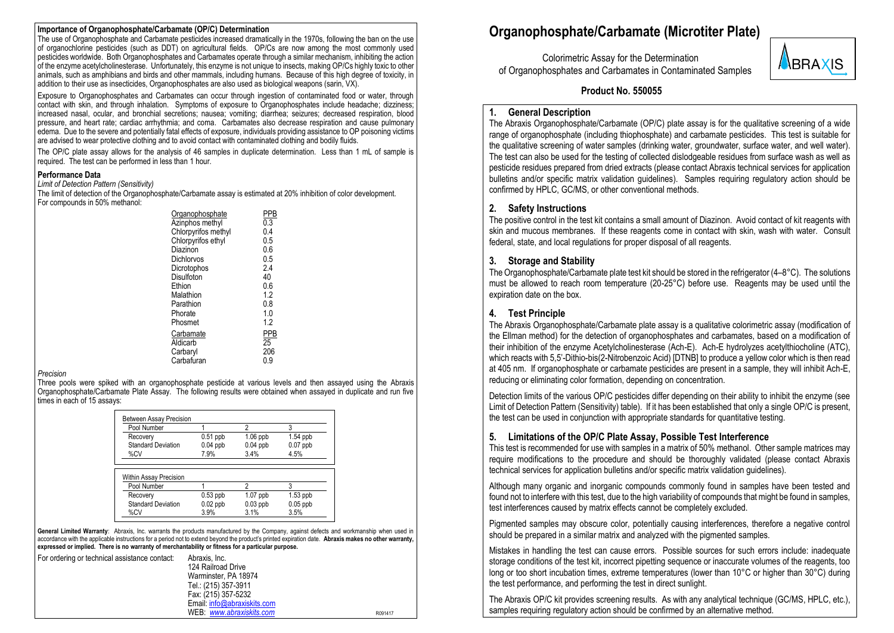#### **Importance of Organophosphate/Carbamate (OP/C) Determination**

The use of Organophosphate and Carbamate pesticides increased dramatically in the 1970s, following the ban on the use of organochlorine pesticides (such as DDT) on agricultural fields. OP/Cs are now among the most commonly used pesticides worldwide. Both Organophosphates and Carbamates operate through a similar mechanism, inhibiting the action of the enzyme acetylcholinesterase. Unfortunately, this enzyme is not unique to insects, making OP/Cs highly toxic to other animals, such as amphibians and birds and other mammals, including humans. Because of this high degree of toxicity, in addition to their use as insecticides, Organophosphates are also used as biological weapons (sarin, VX).

Exposure to Organophosphates and Carbamates can occur through ingestion of contaminated food or water, through contact with skin, and through inhalation. Symptoms of exposure to Organophosphates include headache; dizziness; increased nasal, ocular, and bronchial secretions; nausea; vomiting; diarrhea; seizures; decreased respiration, blood pressure, and heart rate; cardiac arrhythmia; and coma. Carbamates also decrease respiration and cause pulmonary edema. Due to the severe and potentially fatal effects of exposure, individuals providing assistance to OP poisoning victims are advised to wear protective clothing and to avoid contact with contaminated clothing and bodily fluids.

The OP/C plate assay allows for the analysis of 46 samples in duplicate determination. Less than 1 mL of sample is required. The test can be performed in less than 1 hour.

#### **Performance Data**

*Limit of Detection Pattern (Sensitivity)*

The limit of detection of the Organophosphate/Carbamate assay is estimated at 20% inhibition of color development. For compounds in 50% methanol:

| Organophosphate     | PPB |
|---------------------|-----|
| Azinphos methyl     | 0.3 |
| Chlorpyrifos methyl | 0.4 |
| Chlorpyrifos ethyl  | 0.5 |
| Diazinon            | 0.6 |
| Dichlorvos          | 0.5 |
| Dicrotophos         | 2.4 |
| Disulfoton          | 40  |
| Ethion              | 0.6 |
| Malathion           | 1.2 |
| Parathion           | 0.8 |
| Phorate             | 1.0 |
| Phosmet             | 1.2 |
| Carbamate           | PPB |
| Aldicarb            | 25  |
| Carbaryl            | 206 |
| Carbafuran          | 0.9 |
|                     |     |

#### *Precision*

Three pools were spiked with an organophosphate pesticide at various levels and then assayed using the Abraxis Organophosphate/Carbamate Plate Assay. The following results were obtained when assayed in duplicate and run five times in each of 15 assays:

| <b>Between Assay Precision</b> |            |            |            |
|--------------------------------|------------|------------|------------|
| Pool Number                    |            | 2          | 3          |
| Recovery                       | $0.51$ ppb | $1.06$ ppb | $1.54$ ppb |
| <b>Standard Deviation</b>      | $0.04$ ppb | $0.04$ ppb | $0.07$ ppb |
| %CV                            | 7.9%       | 3.4%       | 4.5%       |
|                                |            |            |            |
| Within Assay Precision         |            |            |            |
| Pool Number                    |            | 2          | 3          |
| Recovery                       | $0.53$ ppb | $1.07$ ppb | $1.53$ ppb |
| <b>Standard Deviation</b>      | $0.02$ ppb | $0.03$ ppb | $0.05$ ppb |
| %CV                            | 3.9%       | 3.1%       | 3.5%       |

General Limited Warranty: Abraxis, Inc. warrants the products manufactured by the Company, against defects and workmanship when used in accordance with the applicable instructions for a period not to extend beyond the product's printed expiration date. **Abraxis makes no other warranty, expressed or implied. There is no warranty of merchantability or fitness for a particular purpose.**

| For ordering or technical assistance contact: | Abraxis, Inc.              |         |
|-----------------------------------------------|----------------------------|---------|
|                                               | 124 Railroad Drive         |         |
|                                               | Warminster, PA 18974       |         |
|                                               | Tel.: (215) 357-3911       |         |
|                                               | Fax: (215) 357-5232        |         |
|                                               | Email info@abraxiskits.com |         |
|                                               | WEB www.abraxiskits.com    | R091417 |

## **Organophosphate/Carbamate (Microtiter Plate)**

 Colorimetric Assay for the Determination of Organophosphates and Carbamates in Contaminated Samples



#### **Product No. 550055**

#### **1. General Description**

The Abraxis Organophosphate/Carbamate (OP/C) plate assay is for the qualitative screening of a wide range of organophosphate (including thiophosphate) and carbamate pesticides. This test is suitable for the qualitative screening of water samples (drinking water, groundwater, surface water, and well water). The test can also be used for the testing of collected dislodgeable residues from surface wash as well as pesticide residues prepared from dried extracts (please contact Abraxis technical services for application bulletins and/or specific matrix validation guidelines). Samples requiring regulatory action should be confirmed by HPLC, GC/MS, or other conventional methods.

#### **2. Safety Instructions**

The positive control in the test kit contains a small amount of Diazinon. Avoid contact of kit reagents with skin and mucous membranes. If these reagents come in contact with skin, wash with water. Consult federal, state, and local regulations for proper disposal of all reagents.

#### **3. Storage and Stability**

The Organophosphate/Carbamate plate test kit should be stored in the refrigerator  $(4-8°C)$ . The solutions must be allowed to reach room temperature (20-25°C) before use. Reagents may be used until the expiration date on the box.

#### **4. Test Principle**

The Abraxis Organophosphate/Carbamate plate assay is a qualitative colorimetric assay (modification of the Ellman method) for the detection of organophosphates and carbamates, based on a modification of their inhibition of the enzyme Acetylcholinesterase (Ach-E). Ach-E hydrolyzes acetylthiocholine (ATC), which reacts with 5,5'-Dithio-bis(2-Nitrobenzoic Acid) [DTNB] to produce a yellow color which is then read at 405 nm. If organophosphate or carbamate pesticides are present in a sample, they will inhibit Ach-E, reducing or eliminating color formation, depending on concentration.

Detection limits of the various OP/C pesticides differ depending on their ability to inhibit the enzyme (see Limit of Detection Pattern (Sensitivity) table). If it has been established that only a single OP/C is present, the test can be used in conjunction with appropriate standards for quantitative testing.

#### **5. Limitations of the OP/C Plate Assay, Possible Test Interference**

This test is recommended for use with samples in a matrix of 50% methanol. Other sample matrices may require modifications to the procedure and should be thoroughly validated (please contact Abraxis technical services for application bulletins and/or specific matrix validation quidelines).

Although many organic and inorganic compounds commonly found in samples have been tested and found not to interfere with this test, due to the high variability of compounds that might be found in samples, test interferences caused by matrix effects cannot be completely excluded.

Pigmented samples may obscure color, potentially causing interferences, therefore a negative control should be prepared in a similar matrix and analyzed with the pigmented samples.

Mistakes in handling the test can cause errors. Possible sources for such errors include: inadequate storage conditions of the test kit, incorrect pipetting sequence or inaccurate volumes of the reagents, too long or too short incubation times, extreme temperatures (lower than 10°C or higher than 30°C) during the test performance, and performing the test in direct sunlight.

The Abraxis OP/C kit provides screening results. As with any analytical technique (GC/MS, HPLC, etc.), samples requiring regulatory action should be confirmed by an alternative method.